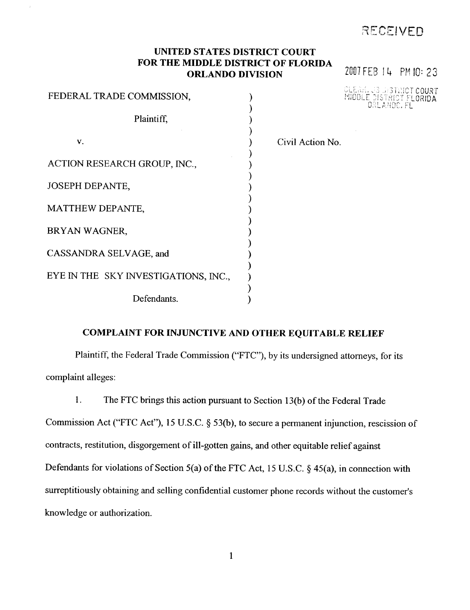# RECEIVED

# UNITED STATES DISTRICT COURT FOR THE MIDDLE DISTRICT OF FLORIDA ORLANDO DIVISION 2007 FEB 14 PM 10: 23

 $\mathcal{E}$ 

FEDERAL TRADE COMMISSION,  $\qquad \qquad$ )  $\mathcal{E}$ Plaintiff  $\mathcal{E}$ V.  $\lambda$  $\lambda$ ACTION RESEARCH GROUP, INC.  $\lambda$ JOSEPH DEPANTE,  $\lambda$  $\lambda$ MATTHEW DEPANTE,  $\lambda$ BRYAN WAGNER, CASSANDRA SELVAGE, and  $\lambda$  $\mathcal{E}$ EYE IN THE SKY INVESTIGATIONS, INC.,  $\mathcal{)}$  $\mathcal{Y}$ Defendants.  $\lambda$ 

CLEAR, JS JISTAICT COURT<br>MIDDLE DISTRICT FLORIDA

Civil Action No.

# COMPLAINT FOR INJUNCTIVE AND OTHER EQUITABLE RELIEF

Plaintiff, the Federal Trade Commission ("FTC"), by its undersigned attorneys, for its complaint alleges:

 $1.$ The FTC brings this action pursuant to Section 13(b) of the Federal Trade Commission Act ("FTC Act"), 15 U.S.C.  $\S$  53(b), to secure a permanent injunction, rescission of contracts, restitution, disgorgement of ill-gotten gains, and other equitable relief against Defendants for violations of Section 5(a) of the FTC Act, 15 U.S.C. § 45(a), in connection with surreptitiously obtaining and selling confidential customer phone records without the customer's knowledge or authorization.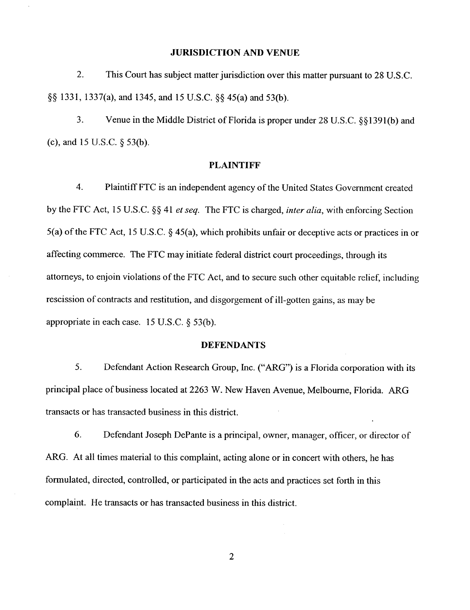### JURISDICTION AND VENUE

2. This Court has subject matter jurisdiction over this matter pursuant to 28 U.S.C.  $\S$ § 1331, 1337(a), and 1345, and 15 U.S.C.  $\S$ § 45(a) and 53(b).

 $3.$ Venue in the Middle District of Florida is proper under 28 U.S.C. §§1391(b) and (c), and  $15$  U.S.C.  $\S$  53(b).

### PLAINTIFF

4. Plaintiff FTC is an independent agency of the United States Government created by the FTC Act, 15 U.S.C. §§ 41 et seq. The FTC is charged, inter alia, with enforcing Section 5(a) of the FTC Act, 15 U.S.C. § 45(a), which prohibits unfair or deceptive acts or practices in or affecting commerce. The FTC may initiate federal district court proceedings, through its attorneys, to enjoin violations of the FTC Act, and to secure such other equitable relief, including rescission of contracts and restitution, and disgorgement of ill-gotten gains, as may be appropriate in each case.  $15$  U.S.C.  $\S$  53(b).

#### DEFENDANTS

 $5<sub>1</sub>$ Defendant Action Research Group, Inc. ("ARG") is a Florida corporation with its principal place of business located at 2263 W. New Haven Avenue, Melboure, Florida. ARG transacts or has transacted business in this district.

6. Defendant Joseph DePante is a principal, owner, manager, officer, or director of ARG. At all times material to this complaint, acting alone or in concert with others, he has formulated, directed, controlled, or participated in the acts and practices set forth in this complaint. He transacts or has transacted business in this district.

 $\overline{2}$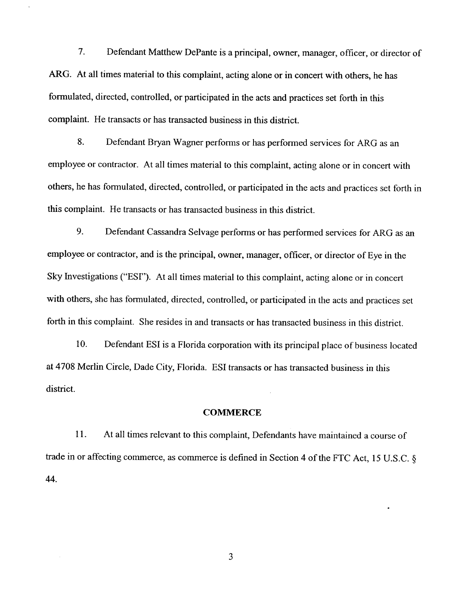7. Defendant Matthew DePante is a principal, owner, manager, officer, or director of ARG. At all times material to this complaint, acting alone or in concert with others, he has formulated, directed, controlled, or participated in the acts and practices set forth in this complaint. He transacts or has transacted business in this district.

8. Defendant Bryan Wagner performs or has performed services for ARG as an employee or contractor. At all times material to this complaint, acting alone or in concert with others, he has formulated, directed, controlled, or paricipated in the acts and practices set forth in this complaint. He transacts or has transacted business in this district.

9. Defendant Cassandra Selvage performs or has performed services for ARG as an employee or contractor, and is the principal, owner, manager, officer, or director of Eye in the Sky Investigations ("ESI"). At all times material to this complaint, acting alone or in concert with others, she has formulated, directed, controlled, or paricipated in the acts and practices set forth in this complaint. She resides in and transacts or has transacted business in this district.

10. Defendant ESI is a Florida corporation with its principal place of business located at 4708 Merlin Circle, Dade City, Florida. ESI tranacts or has transacted business in this district.

#### **COMMERCE**

11. At all times relevant to this complaint, Defendants have maintained a course of trade in or affecting commerce, as commerce is defined in Section 4 of the FTC Act, 15 U.S.C.  $\delta$ 44.

3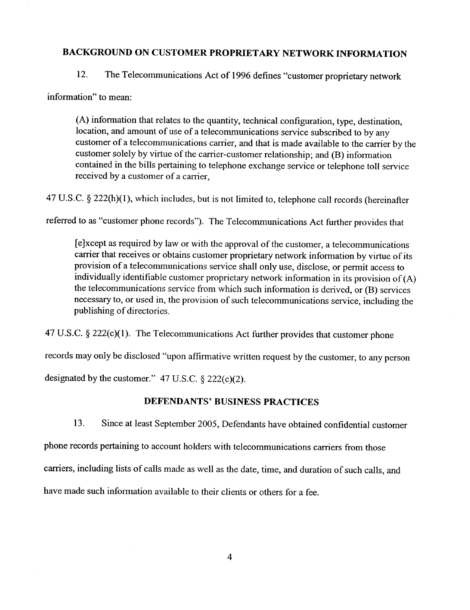# BACKGROUND ON CUSTOMER PROPRIETARY NETWORK INFORMATION

12. The Telecommunications Act of 1996 defines "customer proprietary network

information" to mean:

 $(A)$  information that relates to the quantity, technical configuration, type, destination, location, and amount of use of a telecommunications service subscribed to by any customer of a telecommunications carrier, and that is made available to the carrier by the customer solely by virtue of the carrier-customer relationship; and (B) information contained in the bills pertaining to telephone exchange service or telephone toll service received by a customer of a carrer

47 U.S.C. § 222(h)(1), which includes, but is not limited to, telephone call records (hereinafter

referred to as "customer phone records"). The Telecommunications Act further provides that

(eJxcept as required by law or with the approval of the customer, a telecommunications carrier that receives or obtains customer proprietary network information by virtue of its provision of a telecommunications service shall only use, disclose, or permit access to individually identifiable customer proprietary network information in its provision of (A) the telecommunications service from which such information is derived, or (B) services necessary to, or used in, the provision of such telecommunications service, including the publishing of directories.

47 U.S.C.  $\S 222(c)(1)$ . The Telecommunications Act further provides that customer phone

records may only be disclosed "upon affrmative written request by the customer, to any person

designated by the customer."  $47 \text{ U.S.C.} \S$  222(c)(2).

# DEFENDANTS' BUSINESS PRACTICES

13. Since at least September 2005 , Defendants have obtained confidential customer phone records pertaining to account holders with telecommunications carrers from those carriers, including lists of calls made as well as the date, time, and duration of such calls, and have made such information available to their clients or others for a fee.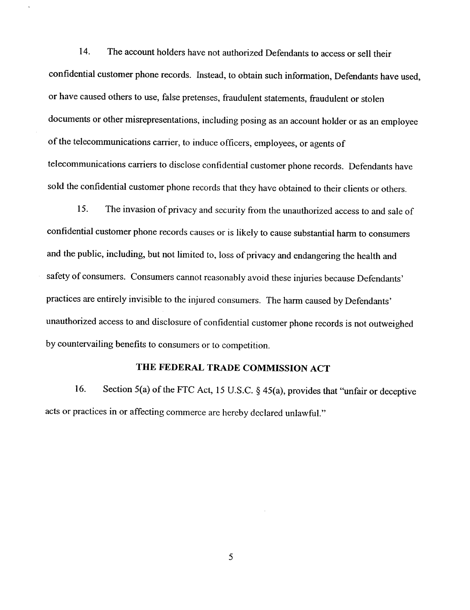14. The account holders have not authorized Defendants to access or sell their confidential customer phone records. Instead, to obtain such information, Defendants have used or have caused others to use, false pretenses, fraudulent statements, fraudulent or stolen documents or other misrepresentations, including posing as an account holder or as an employee of the telecommunications carrier, to induce officers, employees, or agents of telecommunications carriers to disclose confidential customer phone records. Defendants have sold the confidential customer phone records that they have obtained to their clients or others.

15. The invasion of privacy and security from the unauthorized access to and sale of confidential customer phone records causes or is likely to cause substantial harm to consumers and the public, including, but not limited to, loss of privacy and endangering the health and safety of consumers. Consumers canot reasonably avoid these injuries because Defendants' practices are entirely invisible to the injured consumers. The harm caused by Defendants' unauthorized access to and disclosure of confidential customer phone records is not outweighed by countervailing benefits to consumers or to competition.

### THE FEDERAL TRADE COMMISSION ACT

16. Section 5(a) of the FTC Act, 15 U.S.C.  $\S$  45(a), provides that "unfair or deceptive acts or practices in or affecting commerce are hereby declared unlawful."

5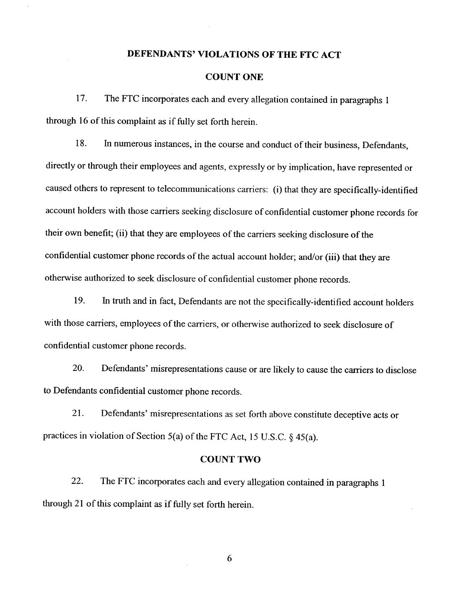### DEFENDANTS' VIOLATIONS OF THE FTC ACT

### COUNT ONE

17. The FTC incorporates each and every allegation contained in pargraphs I through 16 of this complaint as if fully set forth herein.

18. In numerous instances, in the course and conduct of their business, Defendants directly or through their employees and agents, expressly or by implication, have represented or caused others to represent to telecommunications carrers: (i) that they are specifically-identified account holders with those carriers seeking disclosure of confidential customer phone records for their own benefit; (ii) that they are employees of the carriers seeking disclosure of the confidential customer phone records of the actual account holder; and/or (iii) that they are otherwise authorized to seek disclosure of confidential customer phone records.

19. In truth and in fact, Defendants are not the specifically-identified account holders with those carriers, employees of the carriers, or otherwise authorized to seek disclosure of confdential customer phone records.

20. Defendants' misrepresentations cause or are likely to cause the carriers to disclose to Defendants confidential customer phone records.

21. Defendants' misrepresentations as set forth above constitute deceptive acts or practices in violation of Section 5(a) of the FTC Act, 15 U.S.C.  $\S$  45(a).

### COUNT TWO

22. The FTC incorporates each and every allegation contained in paragraphs 1 through 21 of this complaint as if fully set forth herein.

6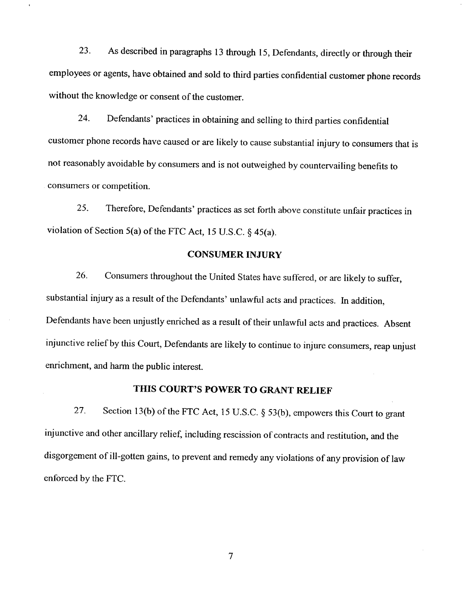23. As described in paragraphs 13 through 15 , Defendants, directly or through their employees or agents, have obtained and sold to third paries confidential customer phone records without the knowledge or consent of the customer.

24. Defendants' practices in obtaining and sellng to third paries confidential customer phone records have caused or are likely to cause substantial injury to consumers that is not reasonably avoidable by consumers and is not outweighed by countervailing benefits to consumers or competition.

25. Therefore, Defendants' practices as set forth above constitute unfair practices in violation of Section 5(a) of the FTC Act, 15 U.S.C.  $\S$  45(a).

### CONSUMER INJURY

26. Consumers throughout the United States have suffered, or are likely to suffer substantial injury as a result of the Defendants' unlawful acts and practices. In addition, Defendants have been unjustly enriched as a result of their unlawful acts and practices. Absent injunctive relief by this Court, Defendants are likely to continue to injure consumers, reap unjust enrichment, and harm the public interest.

### THIS COURT'S POWER TO GRANT RELIEF

27. Section 13(b) of the FTC Act, 15 U.S.C.  $\S$  53(b), empowers this Court to grant injunctive and other ancillary relief, including rescission of contracts and restitution, and the disgorgement of ill-gotten gains, to prevent and remedy any violations of any provision of law enforced by the FTC.

 $\overline{7}$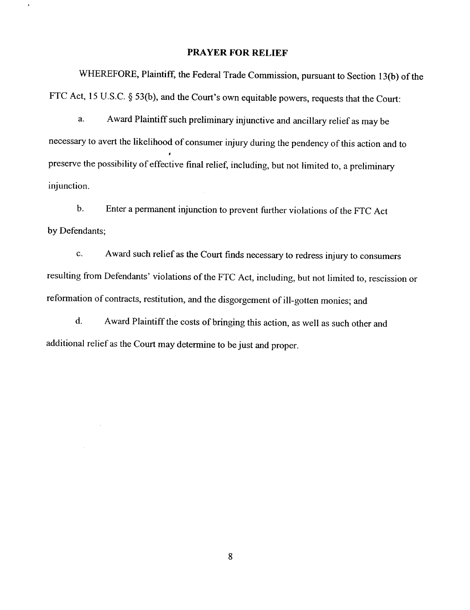## PRAYER FOR RELIEF

 $\rightarrow$ 

WHEREFORE, Plaintiff, the Federal Trade Commission, pursuant to Section 13(b) of the FTC Act, 15 U.S.C. § 53(b), and the Court's own equitable powers, requests that the Court:

Award Plaintiff such preliminary injunctive and ancillary relief as may be  $\mathbf{a}$ . necessary to avert the likelihood of consumer injury during the pendency of this action and to preserve the possibility of effective final relief, including, but not limited to, a preliminar injunction.

Enter a permanent injunction to prevent further violations of the FTC Act  $\mathbf b$ . by Defendants;

 $\mathbf{c}$ . Award such relief as the Court finds necessary to redress injury to consumers resulting from Defendants' violations of the FTC Act , including, but not limited to, rescission or reformation of contracts, restitution, and the disgorgement of ill-gotten monies; and

 $\mathbf{d}$ . Award Plaintiff the costs of briging this action, as well as such other and additional relief as the Court may determine to be just and proper.

 $\bf 8$